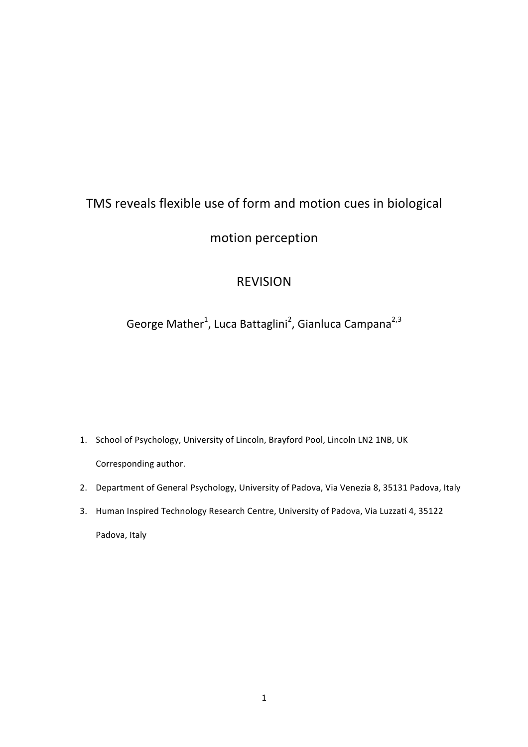# TMS reveals flexible use of form and motion cues in biological

### motion perception

## REVISION

# George Mather<sup>1</sup>, Luca Battaglini<sup>2</sup>, Gianluca Campana<sup>2,3</sup>

- 1. School of Psychology, University of Lincoln, Brayford Pool, Lincoln LN2 1NB, UK Corresponding author.
- 2. Department of General Psychology, University of Padova, Via Venezia 8, 35131 Padova, Italy
- 3. Human Inspired Technology Research Centre, University of Padova, Via Luzzati 4, 35122 Padova, Italy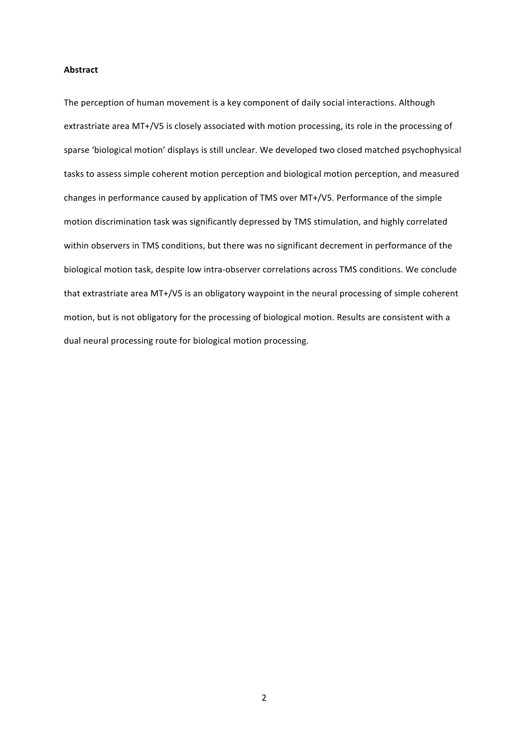#### **Abstract**

The perception of human movement is a key component of daily social interactions. Although extrastriate area MT+/V5 is closely associated with motion processing, its role in the processing of sparse 'biological motion' displays is still unclear. We developed two closed matched psychophysical tasks to assess simple coherent motion perception and biological motion perception, and measured changes in performance caused by application of TMS over MT+/V5. Performance of the simple motion discrimination task was significantly depressed by TMS stimulation, and highly correlated within observers in TMS conditions, but there was no significant decrement in performance of the biological motion task, despite low intra-observer correlations across TMS conditions. We conclude that extrastriate area MT+/V5 is an obligatory waypoint in the neural processing of simple coherent motion, but is not obligatory for the processing of biological motion. Results are consistent with a dual neural processing route for biological motion processing.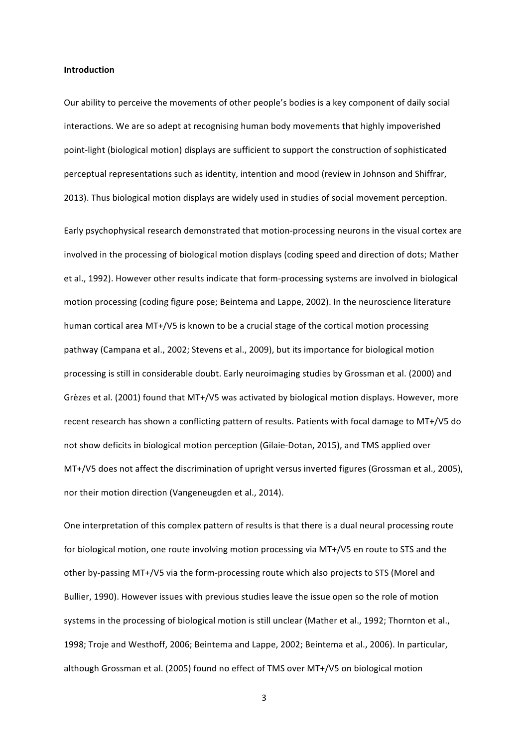#### **Introduction**

Our ability to perceive the movements of other people's bodies is a key component of daily social interactions. We are so adept at recognising human body movements that highly impoverished point-light (biological motion) displays are sufficient to support the construction of sophisticated perceptual representations such as identity, intention and mood (review in Johnson and Shiffrar, 2013). Thus biological motion displays are widely used in studies of social movement perception.

Early psychophysical research demonstrated that motion-processing neurons in the visual cortex are involved in the processing of biological motion displays (coding speed and direction of dots; Mather et al., 1992). However other results indicate that form-processing systems are involved in biological motion processing (coding figure pose; Beintema and Lappe, 2002). In the neuroscience literature human cortical area MT+/V5 is known to be a crucial stage of the cortical motion processing pathway (Campana et al., 2002; Stevens et al., 2009), but its importance for biological motion processing is still in considerable doubt. Early neuroimaging studies by Grossman et al. (2000) and Grèzes et al. (2001) found that MT+/V5 was activated by biological motion displays. However, more recent research has shown a conflicting pattern of results. Patients with focal damage to MT+/V5 do not show deficits in biological motion perception (Gilaie-Dotan, 2015), and TMS applied over MT+/V5 does not affect the discrimination of upright versus inverted figures (Grossman et al., 2005), nor their motion direction (Vangeneugden et al., 2014).

One interpretation of this complex pattern of results is that there is a dual neural processing route for biological motion, one route involving motion processing via MT+/V5 en route to STS and the other by-passing MT+/V5 via the form-processing route which also projects to STS (Morel and Bullier, 1990). However issues with previous studies leave the issue open so the role of motion systems in the processing of biological motion is still unclear (Mather et al., 1992; Thornton et al., 1998; Troje and Westhoff, 2006; Beintema and Lappe, 2002; Beintema et al., 2006). In particular, although Grossman et al. (2005) found no effect of TMS over MT+/V5 on biological motion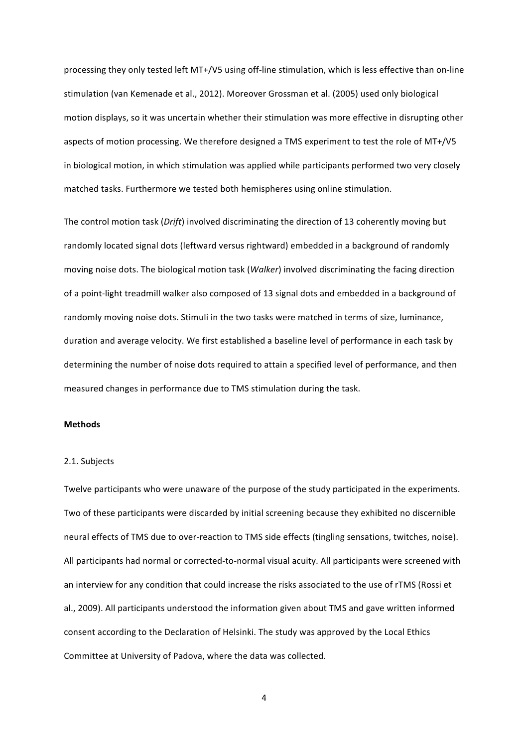processing they only tested left MT+/V5 using off-line stimulation, which is less effective than on-line stimulation (van Kemenade et al., 2012). Moreover Grossman et al. (2005) used only biological motion displays, so it was uncertain whether their stimulation was more effective in disrupting other aspects of motion processing. We therefore designed a TMS experiment to test the role of MT+/V5 in biological motion, in which stimulation was applied while participants performed two very closely matched tasks. Furthermore we tested both hemispheres using online stimulation.

The control motion task (*Drift*) involved discriminating the direction of 13 coherently moving but randomly located signal dots (leftward versus rightward) embedded in a background of randomly moving noise dots. The biological motion task (*Walker*) involved discriminating the facing direction of a point-light treadmill walker also composed of 13 signal dots and embedded in a background of randomly moving noise dots. Stimuli in the two tasks were matched in terms of size, luminance, duration and average velocity. We first established a baseline level of performance in each task by determining the number of noise dots required to attain a specified level of performance, and then measured changes in performance due to TMS stimulation during the task.

### **Methods**

#### 2.1. Subjects

Twelve participants who were unaware of the purpose of the study participated in the experiments. Two of these participants were discarded by initial screening because they exhibited no discernible neural effects of TMS due to over-reaction to TMS side effects (tingling sensations, twitches, noise). All participants had normal or corrected-to-normal visual acuity. All participants were screened with an interview for any condition that could increase the risks associated to the use of rTMS (Rossi et al., 2009). All participants understood the information given about TMS and gave written informed consent according to the Declaration of Helsinki. The study was approved by the Local Ethics Committee at University of Padova, where the data was collected.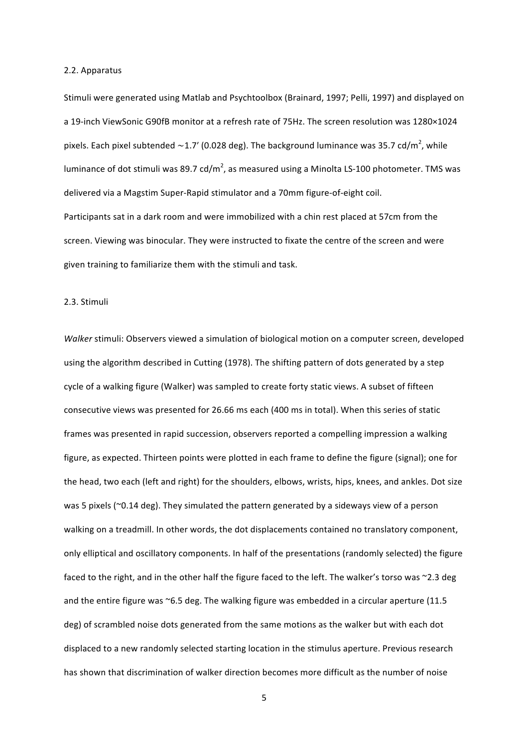#### 2.2. Apparatus

Stimuli were generated using Matlab and Psychtoolbox (Brainard, 1997; Pelli, 1997) and displayed on a 19-inch ViewSonic G90fB monitor at a refresh rate of 75Hz. The screen resolution was 1280×1024 pixels. Each pixel subtended ~1.7′ (0.028 deg). The background luminance was 35.7 cd/m<sup>2</sup>, while luminance of dot stimuli was 89.7 cd/m<sup>2</sup>, as measured using a Minolta LS-100 photometer. TMS was delivered via a Magstim Super-Rapid stimulator and a 70mm figure-of-eight coil. Participants sat in a dark room and were immobilized with a chin rest placed at 57cm from the screen. Viewing was binocular. They were instructed to fixate the centre of the screen and were given training to familiarize them with the stimuli and task.

#### 2.3. Stimuli

*Walker* stimuli: Observers viewed a simulation of biological motion on a computer screen, developed using the algorithm described in Cutting (1978). The shifting pattern of dots generated by a step cycle of a walking figure (Walker) was sampled to create forty static views. A subset of fifteen consecutive views was presented for 26.66 ms each (400 ms in total). When this series of static frames was presented in rapid succession, observers reported a compelling impression a walking figure, as expected. Thirteen points were plotted in each frame to define the figure (signal); one for the head, two each (left and right) for the shoulders, elbows, wrists, hips, knees, and ankles. Dot size was 5 pixels ( $\degree$ 0.14 deg). They simulated the pattern generated by a sideways view of a person walking on a treadmill. In other words, the dot displacements contained no translatory component, only elliptical and oscillatory components. In half of the presentations (randomly selected) the figure faced to the right, and in the other half the figure faced to the left. The walker's torso was  $\sim$ 2.3 deg and the entire figure was  $\sim$ 6.5 deg. The walking figure was embedded in a circular aperture (11.5 deg) of scrambled noise dots generated from the same motions as the walker but with each dot displaced to a new randomly selected starting location in the stimulus aperture. Previous research has shown that discrimination of walker direction becomes more difficult as the number of noise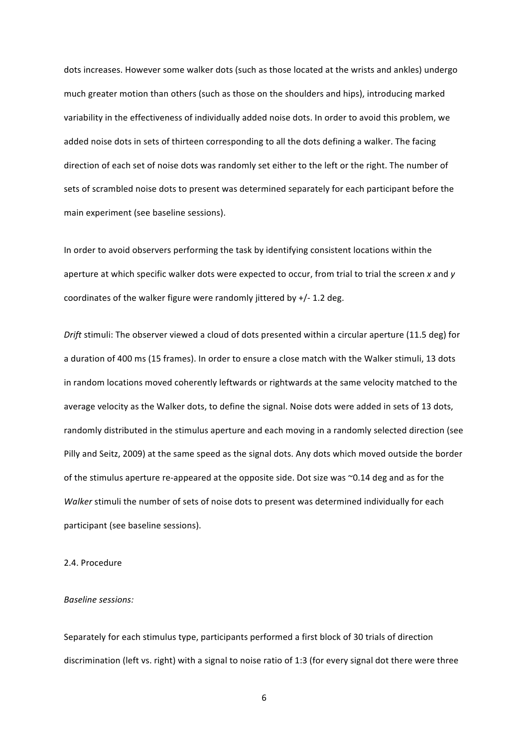dots increases. However some walker dots (such as those located at the wrists and ankles) undergo much greater motion than others (such as those on the shoulders and hips), introducing marked variability in the effectiveness of individually added noise dots. In order to avoid this problem, we added noise dots in sets of thirteen corresponding to all the dots defining a walker. The facing direction of each set of noise dots was randomly set either to the left or the right. The number of sets of scrambled noise dots to present was determined separately for each participant before the main experiment (see baseline sessions).

In order to avoid observers performing the task by identifying consistent locations within the aperture at which specific walker dots were expected to occur, from trial to trial the screen x and y coordinates of the walker figure were randomly jittered by  $+/- 1.2$  deg.

*Drift* stimuli: The observer viewed a cloud of dots presented within a circular aperture (11.5 deg) for a duration of 400 ms (15 frames). In order to ensure a close match with the Walker stimuli, 13 dots in random locations moved coherently leftwards or rightwards at the same velocity matched to the average velocity as the Walker dots, to define the signal. Noise dots were added in sets of 13 dots, randomly distributed in the stimulus aperture and each moving in a randomly selected direction (see Pilly and Seitz, 2009) at the same speed as the signal dots. Any dots which moved outside the border of the stimulus aperture re-appeared at the opposite side. Dot size was  $\sim$ 0.14 deg and as for the *Walker* stimuli the number of sets of noise dots to present was determined individually for each participant (see baseline sessions).

#### 2.4. Procedure

#### **Baseline** sessions:

Separately for each stimulus type, participants performed a first block of 30 trials of direction discrimination (left vs. right) with a signal to noise ratio of 1:3 (for every signal dot there were three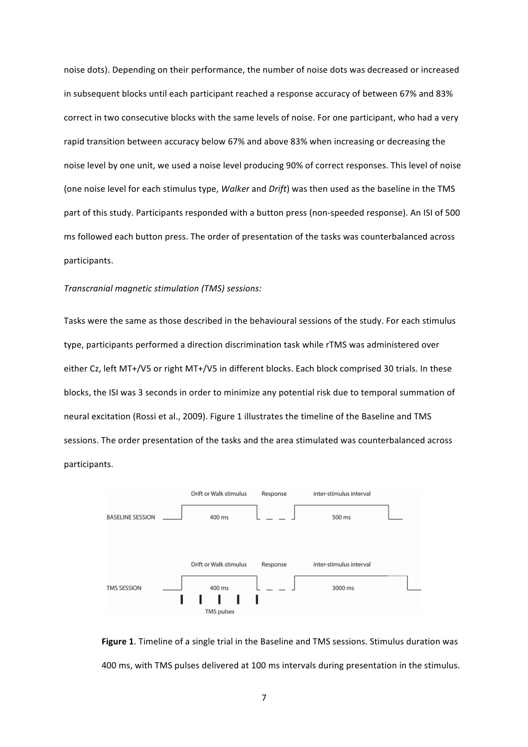noise dots). Depending on their performance, the number of noise dots was decreased or increased in subsequent blocks until each participant reached a response accuracy of between 67% and 83% correct in two consecutive blocks with the same levels of noise. For one participant, who had a very rapid transition between accuracy below 67% and above 83% when increasing or decreasing the noise level by one unit, we used a noise level producing 90% of correct responses. This level of noise (one noise level for each stimulus type, *Walker* and *Drift*) was then used as the baseline in the TMS part of this study. Participants responded with a button press (non-speeded response). An ISI of 500 ms followed each button press. The order of presentation of the tasks was counterbalanced across participants. 

#### *Transcranial magnetic stimulation (TMS) sessions:*

Tasks were the same as those described in the behavioural sessions of the study. For each stimulus type, participants performed a direction discrimination task while rTMS was administered over either Cz, left MT+/V5 or right MT+/V5 in different blocks. Each block comprised 30 trials. In these blocks, the ISI was 3 seconds in order to minimize any potential risk due to temporal summation of neural excitation (Rossi et al., 2009). Figure 1 illustrates the timeline of the Baseline and TMS sessions. The order presentation of the tasks and the area stimulated was counterbalanced across participants.



**Figure 1.** Timeline of a single trial in the Baseline and TMS sessions. Stimulus duration was 400 ms, with TMS pulses delivered at 100 ms intervals during presentation in the stimulus.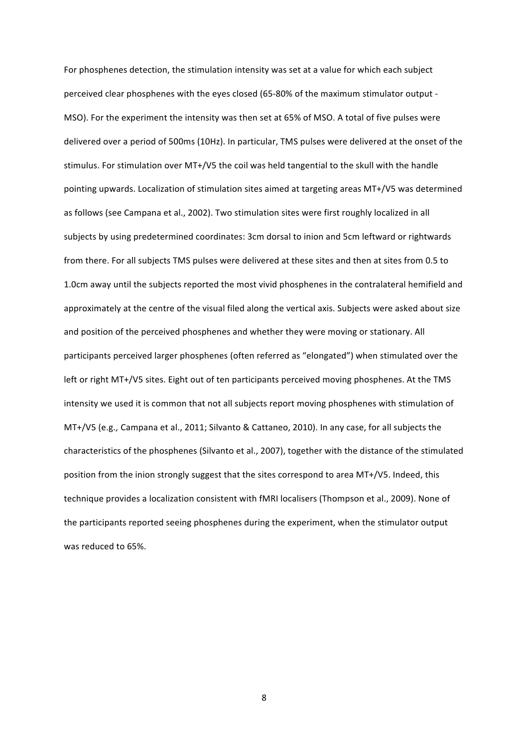For phosphenes detection, the stimulation intensity was set at a value for which each subject perceived clear phosphenes with the eyes closed (65-80% of the maximum stimulator output -MSO). For the experiment the intensity was then set at 65% of MSO. A total of five pulses were delivered over a period of 500ms (10Hz). In particular, TMS pulses were delivered at the onset of the stimulus. For stimulation over MT+/V5 the coil was held tangential to the skull with the handle pointing upwards. Localization of stimulation sites aimed at targeting areas MT+/V5 was determined as follows (see Campana et al., 2002). Two stimulation sites were first roughly localized in all subjects by using predetermined coordinates: 3cm dorsal to inion and 5cm leftward or rightwards from there. For all subjects TMS pulses were delivered at these sites and then at sites from 0.5 to 1.0cm away until the subjects reported the most vivid phosphenes in the contralateral hemifield and approximately at the centre of the visual filed along the vertical axis. Subjects were asked about size and position of the perceived phosphenes and whether they were moving or stationary. All participants perceived larger phosphenes (often referred as "elongated") when stimulated over the left or right MT+/V5 sites. Eight out of ten participants perceived moving phosphenes. At the TMS intensity we used it is common that not all subjects report moving phosphenes with stimulation of MT+/V5 (e.g., Campana et al., 2011; Silvanto & Cattaneo, 2010). In any case, for all subjects the characteristics of the phosphenes (Silvanto et al., 2007), together with the distance of the stimulated position from the inion strongly suggest that the sites correspond to area MT+/V5. Indeed, this technique provides a localization consistent with fMRI localisers (Thompson et al., 2009). None of the participants reported seeing phosphenes during the experiment, when the stimulator output was reduced to 65%.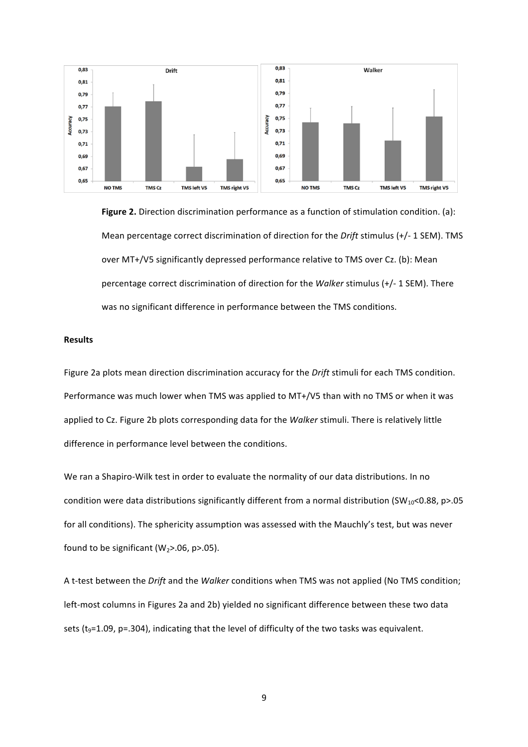

**Figure 2.** Direction discrimination performance as a function of stimulation condition. (a): Mean percentage correct discrimination of direction for the *Drift* stimulus (+/- 1 SEM). TMS over MT+/V5 significantly depressed performance relative to TMS over Cz. (b): Mean percentage correct discrimination of direction for the *Walker* stimulus (+/- 1 SEM). There was no significant difference in performance between the TMS conditions.

#### **Results**

Figure 2a plots mean direction discrimination accuracy for the *Drift* stimuli for each TMS condition. Performance was much lower when TMS was applied to MT+/V5 than with no TMS or when it was applied to Cz. Figure 2b plots corresponding data for the *Walker* stimuli. There is relatively little difference in performance level between the conditions.

We ran a Shapiro-Wilk test in order to evaluate the normality of our data distributions. In no condition were data distributions significantly different from a normal distribution  $SW_{10}$ <0.88, p>.05 for all conditions). The sphericity assumption was assessed with the Mauchly's test, but was never found to be significant  $(W_2>0.06, p>0.05)$ .

A t-test between the *Drift* and the *Walker* conditions when TMS was not applied (No TMS condition; left-most columns in Figures 2a and 2b) yielded no significant difference between these two data sets  $(t_9=1.09, p=.304)$ , indicating that the level of difficulty of the two tasks was equivalent.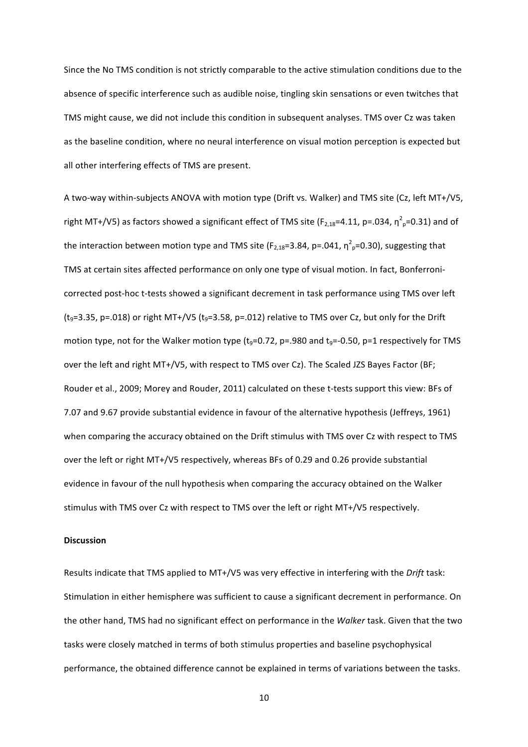Since the No TMS condition is not strictly comparable to the active stimulation conditions due to the absence of specific interference such as audible noise, tingling skin sensations or even twitches that TMS might cause, we did not include this condition in subsequent analyses. TMS over Cz was taken as the baseline condition, where no neural interference on visual motion perception is expected but all other interfering effects of TMS are present.

A two-way within-subjects ANOVA with motion type (Drift vs. Walker) and TMS site (Cz, left MT+/V5, right MT+/V5) as factors showed a significant effect of TMS site (F<sub>2,18</sub>=4.11, p=.034,  $\eta^2$ <sub>p</sub>=0.31) and of the interaction between motion type and TMS site (F<sub>2,18</sub>=3.84, p=.041,  $\eta^2$ <sub>p</sub>=0.30), suggesting that TMS at certain sites affected performance on only one type of visual motion. In fact, Bonferronicorrected post-hoc t-tests showed a significant decrement in task performance using TMS over left  $(t<sub>9</sub>=3.35, p=.018)$  or right MT+/V5  $(t<sub>9</sub>=3.58, p=.012)$  relative to TMS over Cz, but only for the Drift motion type, not for the Walker motion type ( $t_9$ =0.72, p=.980 and  $t_9$ =-0.50, p=1 respectively for TMS over the left and right MT+/V5, with respect to TMS over Cz). The Scaled JZS Bayes Factor (BF; Rouder et al., 2009; Morey and Rouder, 2011) calculated on these t-tests support this view: BFs of 7.07 and 9.67 provide substantial evidence in favour of the alternative hypothesis (Jeffreys, 1961) when comparing the accuracy obtained on the Drift stimulus with TMS over Cz with respect to TMS over the left or right MT+/V5 respectively, whereas BFs of 0.29 and 0.26 provide substantial evidence in favour of the null hypothesis when comparing the accuracy obtained on the Walker stimulus with TMS over Cz with respect to TMS over the left or right MT+/V5 respectively.

#### **Discussion**

Results indicate that TMS applied to MT+/V5 was very effective in interfering with the *Drift* task: Stimulation in either hemisphere was sufficient to cause a significant decrement in performance. On the other hand, TMS had no significant effect on performance in the *Walker* task. Given that the two tasks were closely matched in terms of both stimulus properties and baseline psychophysical performance, the obtained difference cannot be explained in terms of variations between the tasks.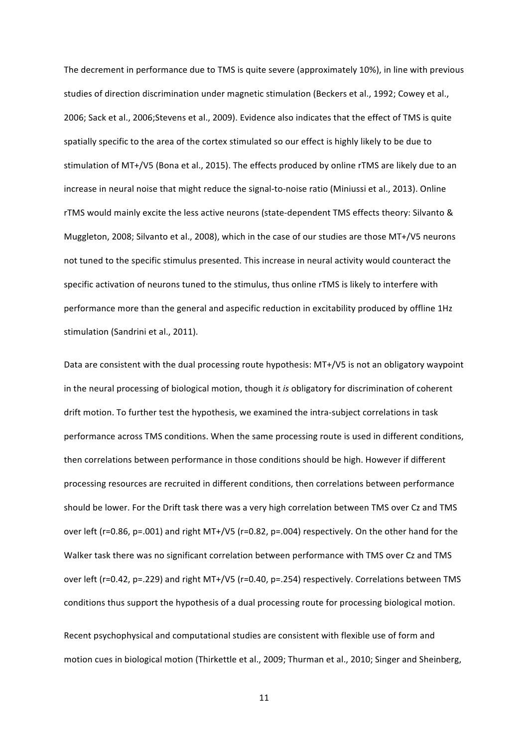The decrement in performance due to TMS is quite severe (approximately 10%), in line with previous studies of direction discrimination under magnetic stimulation (Beckers et al., 1992; Cowey et al., 2006; Sack et al., 2006;Stevens et al., 2009). Evidence also indicates that the effect of TMS is quite spatially specific to the area of the cortex stimulated so our effect is highly likely to be due to stimulation of MT+/V5 (Bona et al., 2015). The effects produced by online rTMS are likely due to an increase in neural noise that might reduce the signal-to-noise ratio (Miniussi et al., 2013). Online rTMS would mainly excite the less active neurons (state-dependent TMS effects theory: Silvanto & Muggleton, 2008; Silvanto et al., 2008), which in the case of our studies are those MT+/V5 neurons not tuned to the specific stimulus presented. This increase in neural activity would counteract the specific activation of neurons tuned to the stimulus, thus online rTMS is likely to interfere with performance more than the general and aspecific reduction in excitability produced by offline 1Hz stimulation (Sandrini et al., 2011).

Data are consistent with the dual processing route hypothesis: MT+/V5 is not an obligatory waypoint in the neural processing of biological motion, though it *is* obligatory for discrimination of coherent drift motion. To further test the hypothesis, we examined the intra-subject correlations in task performance across TMS conditions. When the same processing route is used in different conditions, then correlations between performance in those conditions should be high. However if different processing resources are recruited in different conditions, then correlations between performance should be lower. For the Drift task there was a very high correlation between TMS over Cz and TMS over left ( $r=0.86$ ,  $p=.001$ ) and right MT+/V5 ( $r=0.82$ ,  $p=.004$ ) respectively. On the other hand for the Walker task there was no significant correlation between performance with TMS over Cz and TMS over left (r=0.42, p=.229) and right MT+/V5 (r=0.40, p=.254) respectively. Correlations between TMS conditions thus support the hypothesis of a dual processing route for processing biological motion.

Recent psychophysical and computational studies are consistent with flexible use of form and motion cues in biological motion (Thirkettle et al., 2009; Thurman et al., 2010; Singer and Sheinberg,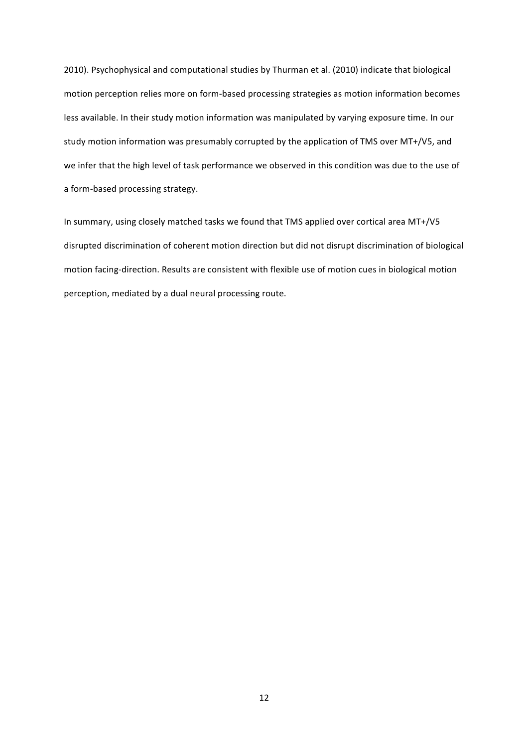2010). Psychophysical and computational studies by Thurman et al. (2010) indicate that biological motion perception relies more on form-based processing strategies as motion information becomes less available. In their study motion information was manipulated by varying exposure time. In our study motion information was presumably corrupted by the application of TMS over MT+/V5, and we infer that the high level of task performance we observed in this condition was due to the use of a form-based processing strategy.

In summary, using closely matched tasks we found that TMS applied over cortical area MT+/V5 disrupted discrimination of coherent motion direction but did not disrupt discrimination of biological motion facing-direction. Results are consistent with flexible use of motion cues in biological motion perception, mediated by a dual neural processing route.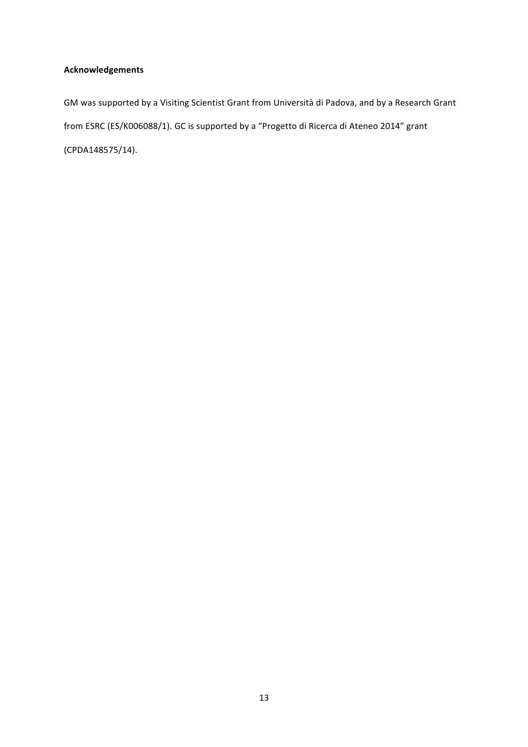### **Acknowledgements**

GM was supported by a Visiting Scientist Grant from Università di Padova, and by a Research Grant from ESRC (ES/K006088/1). GC is supported by a "Progetto di Ricerca di Ateneo 2014" grant (CPDA148575/14).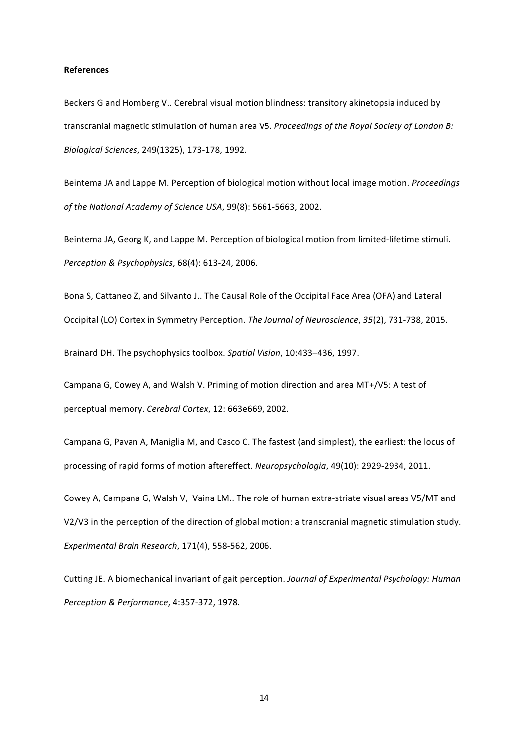#### **References**

Beckers G and Homberg V.. Cerebral visual motion blindness: transitory akinetopsia induced by transcranial magnetic stimulation of human area V5. Proceedings of the Royal Society of London B: *Biological Sciences*, 249(1325), 173-178, 1992.

Beintema JA and Lappe M. Perception of biological motion without local image motion. *Proceedings of the National Academy of Science USA,* 99(8): 5661-5663, 2002.

Beintema JA, Georg K, and Lappe M. Perception of biological motion from limited-lifetime stimuli. *Perception & Psychophysics*, 68(4): 613-24, 2006.

Bona S, Cattaneo Z, and Silvanto J.. The Causal Role of the Occipital Face Area (OFA) and Lateral Occipital (LO) Cortex in Symmetry Perception. The Journal of Neuroscience, 35(2), 731-738, 2015.

Brainard DH. The psychophysics toolbox. Spatial Vision, 10:433-436, 1997.

Campana G, Cowey A, and Walsh V. Priming of motion direction and area MT+/V5: A test of perceptual memory. *Cerebral Cortex*, 12: 663e669, 2002.

Campana G, Pavan A, Maniglia M, and Casco C. The fastest (and simplest), the earliest: the locus of processing of rapid forms of motion aftereffect. *Neuropsychologia*, 49(10): 2929-2934, 2011.

Cowey A, Campana G, Walsh V, Vaina LM.. The role of human extra-striate visual areas V5/MT and V2/V3 in the perception of the direction of global motion: a transcranial magnetic stimulation study. *Experimental Brain Research*, 171(4), 558-562, 2006.

Cutting JE. A biomechanical invariant of gait perception. Journal of Experimental Psychology: Human *Perception & Performance*, 4:357-372, 1978.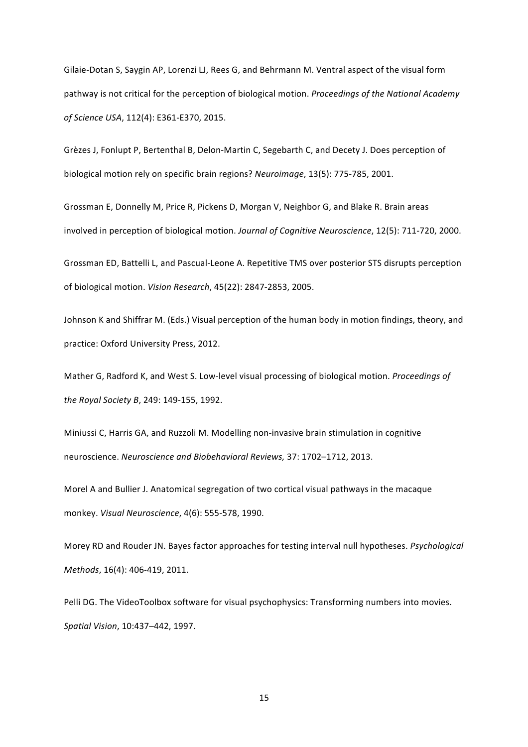Gilaie-Dotan S, Saygin AP, Lorenzi LJ, Rees G, and Behrmann M. Ventral aspect of the visual form pathway is not critical for the perception of biological motion. *Proceedings of the National Academy of Science USA*, 112(4): E361-E370, 2015.

Grèzes J, Fonlupt P, Bertenthal B, Delon-Martin C, Segebarth C, and Decety J. Does perception of biological motion rely on specific brain regions? *Neuroimage*, 13(5): 775-785, 2001.

Grossman E, Donnelly M, Price R, Pickens D, Morgan V, Neighbor G, and Blake R. Brain areas involved in perception of biological motion. *Journal of Cognitive Neuroscience*, 12(5): 711-720, 2000.

Grossman ED, Battelli L, and Pascual-Leone A. Repetitive TMS over posterior STS disrupts perception of biological motion. *Vision Research*, 45(22): 2847-2853, 2005.

Johnson K and Shiffrar M. (Eds.) Visual perception of the human body in motion findings, theory, and practice: Oxford University Press, 2012.

Mather G, Radford K, and West S. Low-level visual processing of biological motion. *Proceedings of the Royal Society B, 249: 149-155, 1992.* 

Miniussi C, Harris GA, and Ruzzoli M. Modelling non-invasive brain stimulation in cognitive neuroscience. *Neuroscience and Biobehavioral Reviews,* 37: 1702–1712, 2013.

Morel A and Bullier J. Anatomical segregation of two cortical visual pathways in the macaque monkey. *Visual Neuroscience*, 4(6): 555-578, 1990.

Morey RD and Rouder JN. Bayes factor approaches for testing interval null hypotheses. *Psychological Methods*, 16(4): 406-419, 2011.

Pelli DG. The VideoToolbox software for visual psychophysics: Transforming numbers into movies. *Spatial Vision*, 10:437–442, 1997.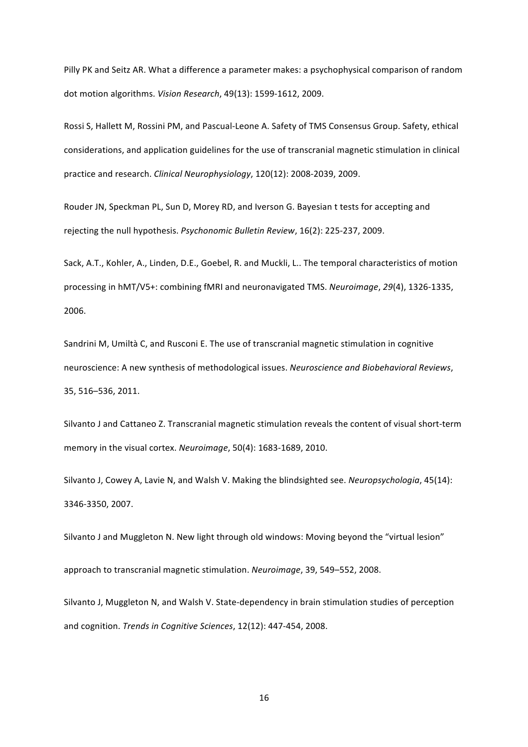Pilly PK and Seitz AR. What a difference a parameter makes: a psychophysical comparison of random dot motion algorithms. *Vision Research*, 49(13): 1599-1612, 2009.

Rossi S, Hallett M, Rossini PM, and Pascual-Leone A. Safety of TMS Consensus Group. Safety, ethical considerations, and application guidelines for the use of transcranial magnetic stimulation in clinical practice and research. *Clinical Neurophysiology*, 120(12): 2008-2039, 2009.

Rouder JN, Speckman PL, Sun D, Morey RD, and Iverson G. Bayesian t tests for accepting and rejecting the null hypothesis. *Psychonomic Bulletin Review*, 16(2): 225-237, 2009.

Sack, A.T., Kohler, A., Linden, D.E., Goebel, R. and Muckli, L.. The temporal characteristics of motion processing in hMT/V5+: combining fMRI and neuronavigated TMS. *Neuroimage*, 29(4), 1326-1335, 2006.

Sandrini M, Umiltà C, and Rusconi E. The use of transcranial magnetic stimulation in cognitive neuroscience: A new synthesis of methodological issues. *Neuroscience and Biobehavioral Reviews*, 35, 516–536, 2011.

Silvanto J and Cattaneo Z. Transcranial magnetic stimulation reveals the content of visual short-term memory in the visual cortex. *Neuroimage*, 50(4): 1683-1689, 2010.

Silvanto J, Cowey A, Lavie N, and Walsh V. Making the blindsighted see. *Neuropsychologia*, 45(14): 3346-3350, 2007.

Silvanto J and Muggleton N. New light through old windows: Moving beyond the "virtual lesion" approach to transcranial magnetic stimulation. *Neuroimage*, 39, 549–552, 2008.

Silvanto J, Muggleton N, and Walsh V. State-dependency in brain stimulation studies of perception and cognition. *Trends in Cognitive Sciences*, 12(12): 447-454, 2008.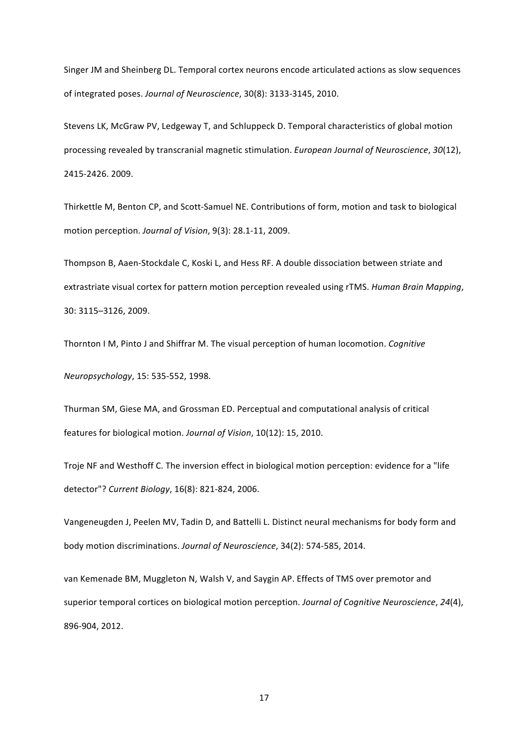Singer JM and Sheinberg DL. Temporal cortex neurons encode articulated actions as slow sequences of integrated poses. Journal of Neuroscience, 30(8): 3133-3145, 2010.

Stevens LK, McGraw PV, Ledgeway T, and Schluppeck D. Temporal characteristics of global motion processing revealed by transcranial magnetic stimulation. *European Journal of Neuroscience*, 30(12), 2415-2426. 2009.

Thirkettle M, Benton CP, and Scott-Samuel NE. Contributions of form, motion and task to biological motion perception. *Journal of Vision*, 9(3): 28.1-11, 2009.

Thompson B, Aaen-Stockdale C, Koski L, and Hess RF. A double dissociation between striate and extrastriate visual cortex for pattern motion perception revealed using rTMS. *Human Brain Mapping*, 30: 3115–3126, 2009.

Thornton I M, Pinto J and Shiffrar M. The visual perception of human locomotion. *Cognitive* 

*Neuropsychology*, 15: 535-552, 1998.

Thurman SM, Giese MA, and Grossman ED. Perceptual and computational analysis of critical features for biological motion. Journal of Vision, 10(12): 15, 2010.

Troje NF and Westhoff C. The inversion effect in biological motion perception: evidence for a "life detector"? *Current Biology*, 16(8): 821-824, 2006.

Vangeneugden J, Peelen MV, Tadin D, and Battelli L. Distinct neural mechanisms for body form and body motion discriminations. Journal of Neuroscience, 34(2): 574-585, 2014.

van Kemenade BM, Muggleton N, Walsh V, and Saygin AP. Effects of TMS over premotor and superior temporal cortices on biological motion perception. *Journal of Cognitive Neuroscience*, 24(4), 896-904, 2012.